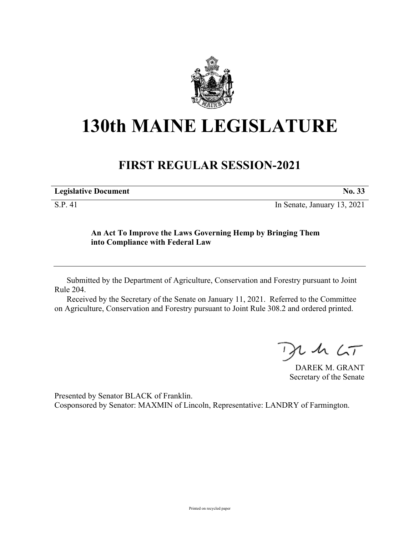

## **130th MAINE LEGISLATURE**

## **FIRST REGULAR SESSION-2021**

| <b>Legislative Document</b> |  |
|-----------------------------|--|
|                             |  |

S.P. 41 In Senate, January 13, 2021

## **An Act To Improve the Laws Governing Hemp by Bringing Them into Compliance with Federal Law**

Submitted by the Department of Agriculture, Conservation and Forestry pursuant to Joint Rule 204.

Received by the Secretary of the Senate on January 11, 2021. Referred to the Committee on Agriculture, Conservation and Forestry pursuant to Joint Rule 308.2 and ordered printed.

 $2.42 < T$ 

DAREK M. GRANT Secretary of the Senate

Presented by Senator BLACK of Franklin. Cosponsored by Senator: MAXMIN of Lincoln, Representative: LANDRY of Farmington.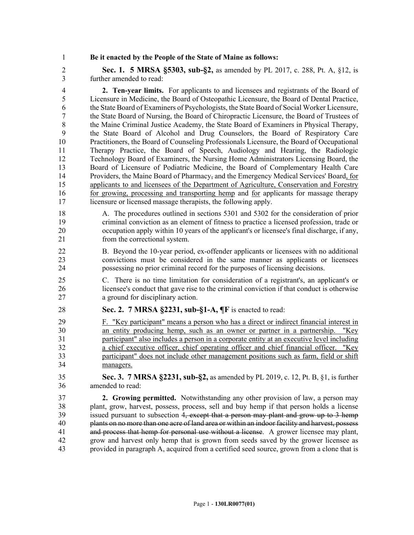1 **Be it enacted by the People of the State of Maine as follows:**

2 **Sec. 1. 5 MRSA §5303, sub-§2,** as amended by PL 2017, c. 288, Pt. A, §12, is 3 further amended to read:

4 **2. Ten-year limits.** For applicants to and licensees and registrants of the Board of 5 Licensure in Medicine, the Board of Osteopathic Licensure, the Board of Dental Practice, 6 the State Board of Examiners of Psychologists, the State Board of Social Worker Licensure, 7 the State Board of Nursing, the Board of Chiropractic Licensure, the Board of Trustees of 8 the Maine Criminal Justice Academy, the State Board of Examiners in Physical Therapy, 9 the State Board of Alcohol and Drug Counselors, the Board of Respiratory Care 10 Practitioners, the Board of Counseling Professionals Licensure, the Board of Occupational 11 Therapy Practice, the Board of Speech, Audiology and Hearing, the Radiologic 12 Technology Board of Examiners, the Nursing Home Administrators Licensing Board, the 13 Board of Licensure of Podiatric Medicine, the Board of Complementary Health Care 14 Providers, the Maine Board of Pharmacy, and the Emergency Medical Services' Board, for 15 applicants to and licensees of the Department of Agriculture, Conservation and Forestry 16 for growing, processing and transporting hemp and for applicants for massage therapy 17 licensure or licensed massage therapists, the following apply.

18 A. The procedures outlined in sections 5301 and 5302 for the consideration of prior 19 criminal conviction as an element of fitness to practice a licensed profession, trade or 20 occupation apply within 10 years of the applicant's or licensee's final discharge, if any, 21 from the correctional system.

- 22 B. Beyond the 10-year period, ex-offender applicants or licensees with no additional 23 convictions must be considered in the same manner as applicants or licensees 24 possessing no prior criminal record for the purposes of licensing decisions.
- 25 C. There is no time limitation for consideration of a registrant's, an applicant's or 26 licensee's conduct that gave rise to the criminal conviction if that conduct is otherwise 27 a ground for disciplinary action.
- 28 **Sec. 2. 7 MRSA §2231, sub-§1-A, ¶F** is enacted to read:
- 29 F. "Key participant" means a person who has a direct or indirect financial interest in 30 an entity producing hemp, such as an owner or partner in a partnership. "Key 31 participant" also includes a person in a corporate entity at an executive level including 32 a chief executive officer, chief operating officer and chief financial officer. "Key 33 participant" does not include other management positions such as farm, field or shift 34 managers.
- 35 **Sec. 3. 7 MRSA §2231, sub-§2,** as amended by PL 2019, c. 12, Pt. B, §1, is further 36 amended to read:

37 **2. Growing permitted.** Notwithstanding any other provision of law, a person may 38 plant, grow, harvest, possess, process, sell and buy hemp if that person holds a license 39 issued pursuant to subsection 4, except that a person may plant and grow up to 3 hemp 40 plants on no more than one acre of land area or within an indoor facility and harvest, possess 41 and process that hemp for personal use without a license. A grower licensee may plant, 42 grow and harvest only hemp that is grown from seeds saved by the grower licensee as 43 provided in paragraph A, acquired from a certified seed source, grown from a clone that is